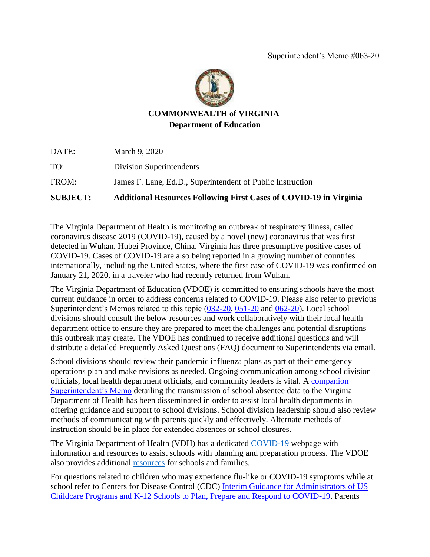

## **COMMONWEALTH of VIRGINIA Department of Education**

| <b>SUBJECT:</b> | <b>Additional Resources Following First Cases of COVID-19 in Virginia</b> |
|-----------------|---------------------------------------------------------------------------|
| FROM:           | James F. Lane, Ed.D., Superintendent of Public Instruction                |
| TO:             | Division Superintendents                                                  |
| DATE:           | March 9, 2020                                                             |

The Virginia Department of Health is monitoring an outbreak of respiratory illness, called coronavirus disease 2019 (COVID-19), caused by a novel (new) coronavirus that was first detected in Wuhan, Hubei Province, China. Virginia has three presumptive positive cases of COVID-19. Cases of COVID-19 are also being reported in a growing number of countries internationally, including the United States, where the first case of COVID-19 was confirmed on January 21, 2020, in a traveler who had recently returned from Wuhan.

The Virginia Department of Education (VDOE) is committed to ensuring schools have the most current guidance in order to address concerns related to COVID-19. Please also refer to previous Superintendent's Memos related to this topic [\(032-20,](http://www.doe.virginia.gov/administrators/superintendents_memos/2020/032-20.docx) [051-20](http://www.doe.virginia.gov/administrators/superintendents_memos/2020/051-20.docx) and [062-20\)](http://www.doe.virginia.gov/administrators/superintendents_memos/2020/062-20.docx). Local school divisions should consult the below resources and work collaboratively with their local health department office to ensure they are prepared to meet the challenges and potential disruptions this outbreak may create. The VDOE has continued to receive additional questions and will distribute a detailed Frequently Asked Questions (FAQ) document to Superintendents via email.

School divisions should review their pandemic influenza plans as part of their emergency operations plan and make revisions as needed. Ongoing communication among school division officials, local health department officials, and community leaders is vital. A [companion](http://www.doe.virginia.gov/administrators/superintendents_memos/2020/062-20.docx)  [Superintendent's Memo](http://www.doe.virginia.gov/administrators/superintendents_memos/2020/062-20.docx) detailing the transmission of school absentee data to the Virginia Department of Health has been disseminated in order to assist local health departments in offering guidance and support to school divisions. School division leadership should also review methods of communicating with parents quickly and effectively. Alternate methods of instruction should be in place for extended absences or school closures.

The Virginia Department of Health (VDH) has a dedicated [COVID-19](http://www.vdh.virginia.gov/surveillance-and-investigation/novel-coronavirus/) webpage with information and resources to assist schools with planning and preparation process. The VDOE also provides additional [resources](http://www.doe.virginia.gov/support/health_medical/office/index.shtml) for schools and families.

For questions related to children who may experience flu-like or COVID-19 symptoms while at school refer to Centers for Disease Control (CDC) [Interim Guidance for Administrators of US](https://www.cdc.gov/coronavirus/2019-ncov/community/schools-childcare/guidance-for-schools.html?CDC_AA_refVal=https%3A%2F%2Fwww.cdc.gov%2Fcoronavirus%2F2019-ncov%2Fspecific-groups%2Fguidance-for-schools.html)  [Childcare Programs and K-12 Schools to Plan, Prepare and Respond to COVID-19.](https://www.cdc.gov/coronavirus/2019-ncov/community/schools-childcare/guidance-for-schools.html?CDC_AA_refVal=https%3A%2F%2Fwww.cdc.gov%2Fcoronavirus%2F2019-ncov%2Fspecific-groups%2Fguidance-for-schools.html) Parents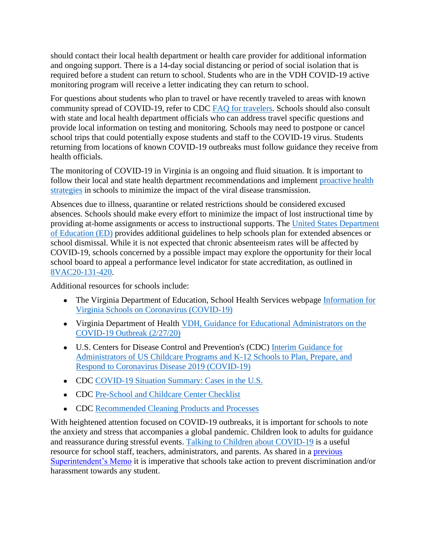should contact their local health department or health care provider for additional information and ongoing support. There is a 14-day social distancing or period of social isolation that is required before a student can return to school. Students who are in the VDH COVID-19 active monitoring program will receive a letter indicating they can return to school.

For questions about students who plan to travel or have recently traveled to areas with known community spread of COVID-19, refer to CDC [FAQ for travelers.](https://www.cdc.gov/coronavirus/2019-ncov/travelers/faqs.html) Schools should also consult with state and local health department officials who can address travel specific questions and provide local information on testing and monitoring. Schools may need to postpone or cancel school trips that could potentially expose students and staff to the COVID-19 virus. Students returning from locations of known COVID-19 outbreaks must follow guidance they receive from health officials.

The monitoring of COVID-19 in Virginia is an ongoing and fluid situation. It is important to follow their local and state health department recommendations and implement proactive health [strategies](https://www.cdc.gov/flu/prevent/actions-prevent-flu.htm) in schools to minimize the impact of the viral disease transmission.

Absences due to illness, quarantine or related restrictions should be considered excused absences. Schools should make every effort to minimize the impact of lost instructional time by providing at-home assignments or access to instructional supports. The [United States Department](https://www2.ed.gov/about/offices/list/oese/oshs/oese-infectious-disease-guidance.pdf)  [of Education \(ED\)](https://www2.ed.gov/about/offices/list/oese/oshs/oese-infectious-disease-guidance.pdf) provides additional guidelines to help schools plan for extended absences or school dismissal. While it is not expected that chronic absenteeism rates will be affected by COVID-19, schools concerned by a possible impact may explore the opportunity for their local school board to appeal a performance level indicator for state accreditation, as outlined in [8VAC20-131-420.](https://law.lis.virginia.gov/admincode/title8/agency20/chapter131/section420/)

Additional resources for schools include:

- The Virginia Department of Education, School Health Services webpage Information for [Virginia Schools on Coronavirus \(COVID-19\)](http://www.doe.virginia.gov/support/health_medical/office/index.shtml)
- Virginia Department of Health VDH, Guidance for Educational Administrators on the [COVID-19 Outbreak \(2/27/20\)](http://www.vdh.virginia.gov/content/uploads/sites/13/2020/02/COVID-19-FAQ_Educational-Administrators_022720-final.pdf)
- U.S. Centers for Disease Control and Prevention's (CDC) [Interim Guidance for](https://www.cdc.gov/coronavirus/2019-ncov/specific-groups/guidance-for-schools.html)  [Administrators of US Childcare Programs and K-12 Schools to Plan, Prepare, and](https://www.cdc.gov/coronavirus/2019-ncov/specific-groups/guidance-for-schools.html)  [Respond to Coronavirus Disease 2019 \(COVID-19\)](https://www.cdc.gov/coronavirus/2019-ncov/specific-groups/guidance-for-schools.html)
- CDC [COVID-19 Situation Summary: Cases in the U.S.](https://www.cdc.gov/coronavirus/2019-ncov/cases-in-us.html)
- CD[C](https://www.cdc.gov/nonpharmaceutical-interventions/pdf/pan-flu-checklist-childcare-program-administrators-item3.pdf) [Pre-School](https://www.cdc.gov/nonpharmaceutical-interventions/pdf/pan-flu-checklist-childcare-program-administrators-item3.pdf) [and Childcare Center Checklist](https://www.cdc.gov/nonpharmaceutical-interventions/pdf/pan-flu-checklist-childcare-program-administrators-item3.pdf)
- CDC [Recommended Cleaning Products and Processes](https://www.cdc.gov/coronavirus/2019-ncov/community/home/cleaning-disinfection.html)

With heightened attention focused on COVID-19 outbreaks, it is important for schools to note the anxiety and stress that accompanies a global pandemic. Children look to adults for guidance and reassurance during stressful events. [Talking to Children about COVID-19](https://www.nasponline.org/resources-and-publications/resources-and-podcasts/school-climate-safety-and-crisis/health-crisis-resources/talking-to-children-about-covid-19-(coronavirus)-a-parent-resource) is a useful resource for school staff, teachers, administrators, and parents. As shared in a [previous](http://www.doe.virginia.gov/administrators/superintendents_memos/2020/051-20.docx)  [Superintendent's Memo](http://www.doe.virginia.gov/administrators/superintendents_memos/2020/051-20.docx) it is imperative that schools take action to prevent discrimination and/or harassment towards any student.